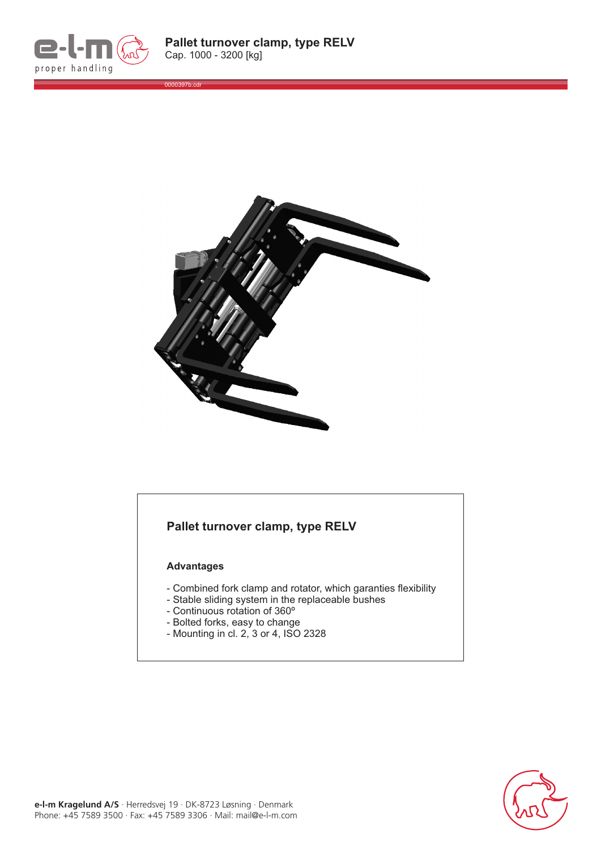

0000397b.cdr



## **Pallet turnover clamp, type RELV**

## **Advantages**

- Combined fork clamp and rotator, which garanties flexibility
- Stable sliding system in the replaceable bushes
- Continuous rotation of 360º
- Bolted forks, easy to change
- Mounting in cl. 2, 3 or 4, ISO 2328